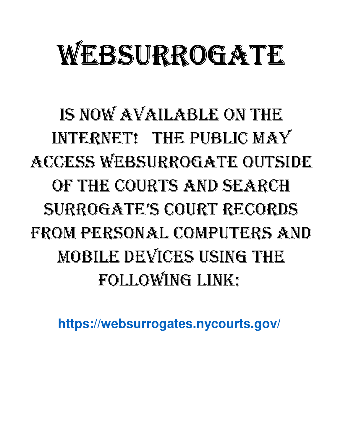# WEBSURROGATE

IS NOW AVAILABLE ON THE INTERNET! THE PUBLIC MAY ACCESS WEBSURROGATE OUTSIDE OF THE COURTS AND SEARCH SURROGATE'S COURT RECORDS FROM PERSONAL COMPUTERS AND MOBILE DEVICES USING THE FOLLOWING LINK:

**https://websurrogates.nycourts.gov/**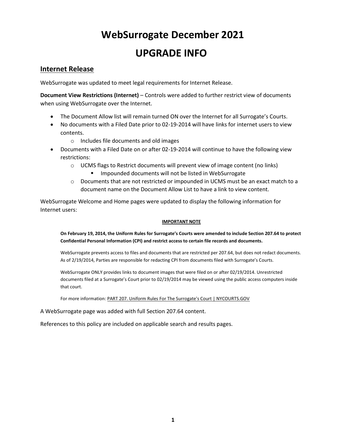# WebSurrogate December 2021 UPGRADE INFO

### Internet Release

WebSurrogate was updated to meet legal requirements for Internet Release.

Document View Restrictions (Internet) – Controls were added to further restrict view of documents when using WebSurrogate over the Internet.

- The Document Allow list will remain turned ON over the Internet for all Surrogate's Courts.
- No documents with a Filed Date prior to 02-19-2014 will have links for internet users to view contents.
	- o Includes file documents and old images
- Documents with a Filed Date on or after 02-19-2014 will continue to have the following view restrictions:
	- $\circ$  UCMS flags to Restrict documents will prevent view of image content (no links)
		- Impounded documents will not be listed in WebSurrogate
	- $\circ$  Documents that are not restricted or impounded in UCMS must be an exact match to a document name on the Document Allow List to have a link to view content.

WebSurrogate Welcome and Home pages were updated to display the following information for Internet users:

#### IMPORTANT NOTE

#### On February 19, 2014, the Uniform Rules for Surrogate's Courts were amended to include Section 207.64 to protect Confidential Personal Information (CPI) and restrict access to certain file records and documents.

WebSurrogate prevents access to files and documents that are restricted per 207.64, but does not redact documents. As of 2/19/2014, Parties are responsible for redacting CPI from documents filed with Surrogate's Courts.

WebSurrogate ONLY provides links to document images that were filed on or after 02/19/2014. Unrestricted documents filed at a Surrogate's Court prior to 02/19/2014 may be viewed using the public access computers inside that court.

For more information: PART 207. Uniform Rules For The Surrogate's Court | NYCOURTS.GOV

A WebSurrogate page was added with full Section 207.64 content.

References to this policy are included on applicable search and results pages.